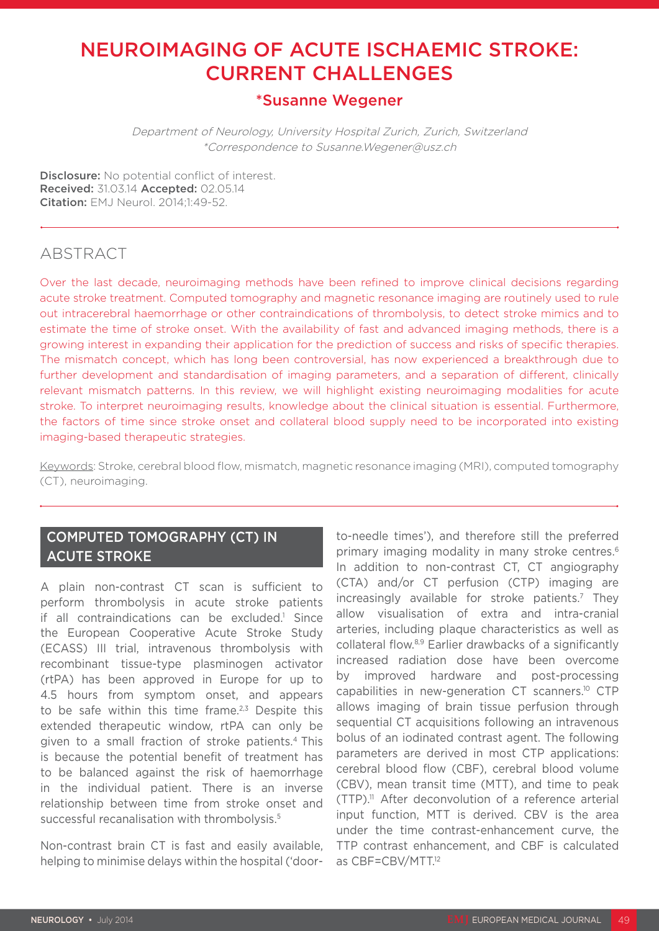# NEUROIMAGING OF ACUTE ISCHAEMIC STROKE: CURRENT CHALLENGES

### \*Susanne Wegener

Department of Neurology, University Hospital Zurich, Zurich, Switzerland \*Correspondence to Susanne.Wegener@usz.ch

Disclosure: No potential conflict of interest. Received: 31.03.14 Accepted: 02.05.14 **Citation: FMJ Neurol. 2014:1:49-52.** 

## ABSTRACT

Over the last decade, neuroimaging methods have been refined to improve clinical decisions regarding acute stroke treatment. Computed tomography and magnetic resonance imaging are routinely used to rule out intracerebral haemorrhage or other contraindications of thrombolysis, to detect stroke mimics and to estimate the time of stroke onset. With the availability of fast and advanced imaging methods, there is a growing interest in expanding their application for the prediction of success and risks of specific therapies. The mismatch concept, which has long been controversial, has now experienced a breakthrough due to further development and standardisation of imaging parameters, and a separation of different, clinically relevant mismatch patterns. In this review, we will highlight existing neuroimaging modalities for acute stroke. To interpret neuroimaging results, knowledge about the clinical situation is essential. Furthermore, the factors of time since stroke onset and collateral blood supply need to be incorporated into existing imaging-based therapeutic strategies.

Keywords: Stroke, cerebral blood flow, mismatch, magnetic resonance imaging (MRI), computed tomography (CT), neuroimaging.

#### COMPUTED TOMOGRAPHY (CT) IN ACUTE STROKE

A plain non-contrast CT scan is sufficient to perform thrombolysis in acute stroke patients if all contraindications can be excluded.<sup>1</sup> Since the European Cooperative Acute Stroke Study (ECASS) III trial, intravenous thrombolysis with recombinant tissue-type plasminogen activator (rtPA) has been approved in Europe for up to 4.5 hours from symptom onset, and appears to be safe within this time frame.<sup>2,3</sup> Despite this extended therapeutic window, rtPA can only be given to a small fraction of stroke patients.4 This is because the potential benefit of treatment has to be balanced against the risk of haemorrhage in the individual patient. There is an inverse relationship between time from stroke onset and successful recanalisation with thrombolysis.<sup>5</sup>

Non-contrast brain CT is fast and easily available, helping to minimise delays within the hospital ('doorto-needle times'), and therefore still the preferred primary imaging modality in many stroke centres.6 In addition to non-contrast CT, CT angiography (CTA) and/or CT perfusion (CTP) imaging are increasingly available for stroke patients.<sup>7</sup> They allow visualisation of extra and intra-cranial arteries, including plaque characteristics as well as collateral flow.8,9 Earlier drawbacks of a significantly increased radiation dose have been overcome by improved hardware and post-processing capabilities in new-generation CT scanners.10 CTP allows imaging of brain tissue perfusion through sequential CT acquisitions following an intravenous bolus of an iodinated contrast agent. The following parameters are derived in most CTP applications: cerebral blood flow (CBF), cerebral blood volume (CBV), mean transit time (MTT), and time to peak  $(TTP)$ .<sup>11</sup> After deconvolution of a reference arterial input function, MTT is derived. CBV is the area under the time contrast-enhancement curve, the TTP contrast enhancement, and CBF is calculated as CBF=CBV/MTT.12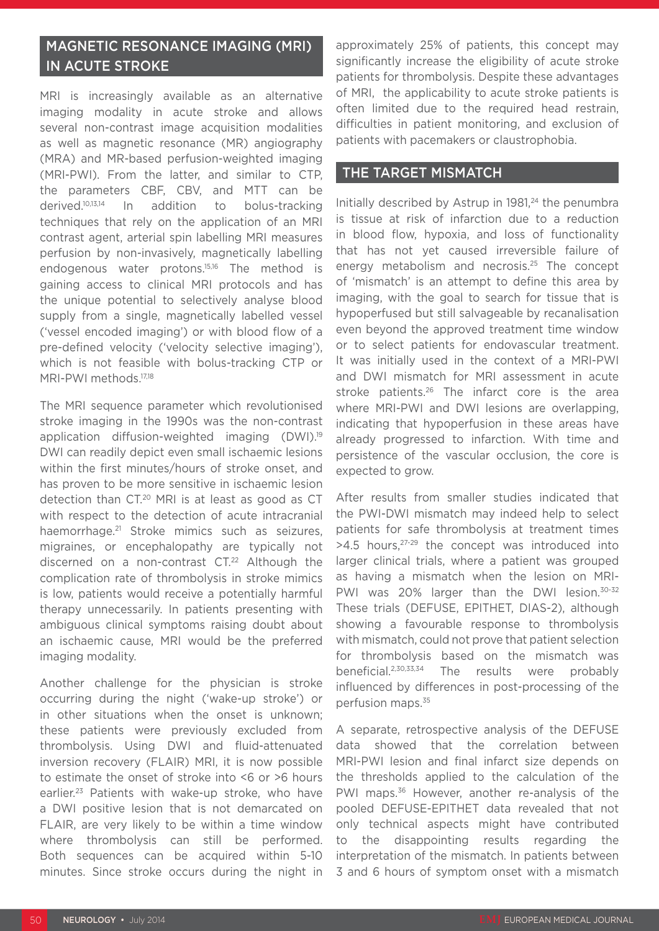### MAGNETIC RESONANCE IMAGING (MRI) IN ACUTE STROKE

MRI is increasingly available as an alternative imaging modality in acute stroke and allows several non-contrast image acquisition modalities as well as magnetic resonance (MR) angiography (MRA) and MR-based perfusion-weighted imaging (MRI-PWI). From the latter, and similar to CTP, the parameters CBF, CBV, and MTT can be derived.10,13,14 In addition to bolus-tracking techniques that rely on the application of an MRI contrast agent, arterial spin labelling MRI measures perfusion by non-invasively, magnetically labelling endogenous water protons.15,16 The method is gaining access to clinical MRI protocols and has the unique potential to selectively analyse blood supply from a single, magnetically labelled vessel ('vessel encoded imaging') or with blood flow of a pre-defined velocity ('velocity selective imaging'), which is not feasible with bolus-tracking CTP or MRI-PWI methods.<sup>17,18</sup>

The MRI sequence parameter which revolutionised stroke imaging in the 1990s was the non-contrast application diffusion-weighted imaging (DWI).19 DWI can readily depict even small ischaemic lesions within the first minutes/hours of stroke onset, and has proven to be more sensitive in ischaemic lesion detection than CT.20 MRI is at least as good as CT with respect to the detection of acute intracranial haemorrhage.<sup>21</sup> Stroke mimics such as seizures, migraines, or encephalopathy are typically not discerned on a non-contrast CT.<sup>22</sup> Although the complication rate of thrombolysis in stroke mimics is low, patients would receive a potentially harmful therapy unnecessarily. In patients presenting with ambiguous clinical symptoms raising doubt about an ischaemic cause, MRI would be the preferred imaging modality.

Another challenge for the physician is stroke occurring during the night ('wake-up stroke') or in other situations when the onset is unknown; these patients were previously excluded from thrombolysis. Using DWI and fluid-attenuated inversion recovery (FLAIR) MRI, it is now possible to estimate the onset of stroke into <6 or >6 hours earlier.23 Patients with wake-up stroke, who have a DWI positive lesion that is not demarcated on FLAIR, are very likely to be within a time window where thrombolysis can still be performed. Both sequences can be acquired within 5-10 minutes. Since stroke occurs during the night in

approximately 25% of patients, this concept may significantly increase the eligibility of acute stroke patients for thrombolysis. Despite these advantages of MRI, the applicability to acute stroke patients is often limited due to the required head restrain, difficulties in patient monitoring, and exclusion of patients with pacemakers or claustrophobia.

#### THE TARGET MISMATCH

Initially described by Astrup in  $1981<sup>24</sup>$  the penumbra is tissue at risk of infarction due to a reduction in blood flow, hypoxia, and loss of functionality that has not yet caused irreversible failure of energy metabolism and necrosis.25 The concept of 'mismatch' is an attempt to define this area by imaging, with the goal to search for tissue that is hypoperfused but still salvageable by recanalisation even beyond the approved treatment time window or to select patients for endovascular treatment. It was initially used in the context of a MRI-PWI and DWI mismatch for MRI assessment in acute stroke patients.<sup>26</sup> The infarct core is the area where MRI-PWI and DWI lesions are overlapping, indicating that hypoperfusion in these areas have already progressed to infarction. With time and persistence of the vascular occlusion, the core is expected to grow.

After results from smaller studies indicated that the PWI-DWI mismatch may indeed help to select patients for safe thrombolysis at treatment times  $>4.5$  hours,  $27-29$  the concept was introduced into larger clinical trials, where a patient was grouped as having a mismatch when the lesion on MRI-PWI was 20% larger than the DWI lesion.<sup>30-32</sup> These trials (DEFUSE, EPITHET, DIAS-2), although showing a favourable response to thrombolysis with mismatch, could not prove that patient selection for thrombolysis based on the mismatch was beneficial.2,30,33,34 The results were probably influenced by differences in post-processing of the perfusion maps.35

A separate, retrospective analysis of the DEFUSE data showed that the correlation between MRI-PWI lesion and final infarct size depends on the thresholds applied to the calculation of the PWI maps.36 However, another re-analysis of the pooled DEFUSE-EPITHET data revealed that not only technical aspects might have contributed to the disappointing results regarding the interpretation of the mismatch. In patients between 3 and 6 hours of symptom onset with a mismatch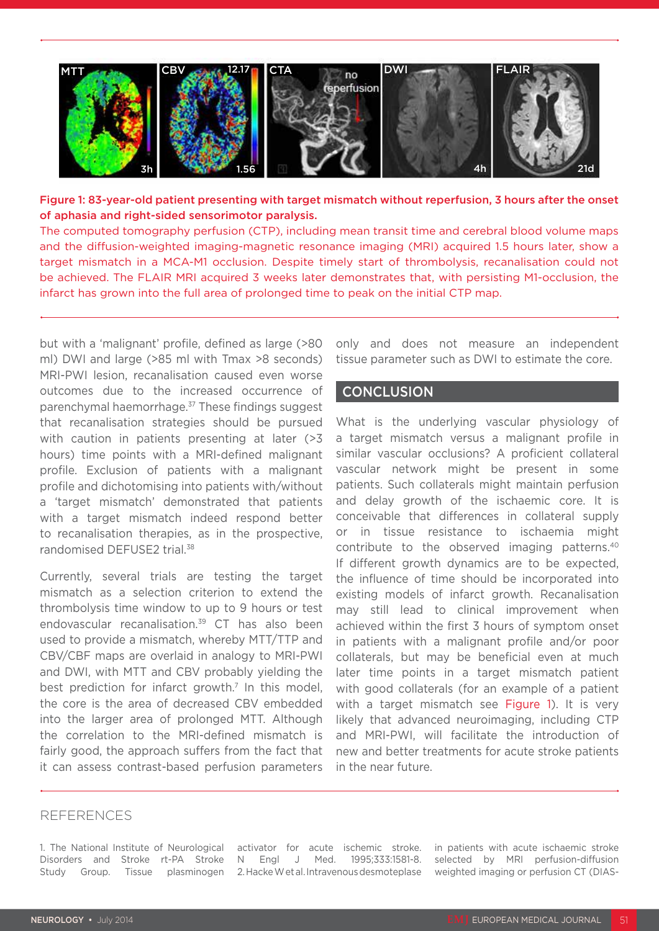

Figure 1: 83-year-old patient presenting with target mismatch without reperfusion, 3 hours after the onset of aphasia and right-sided sensorimotor paralysis.

The computed tomography perfusion (CTP), including mean transit time and cerebral blood volume maps and the diffusion-weighted imaging-magnetic resonance imaging (MRI) acquired 1.5 hours later, show a target mismatch in a MCA-M1 occlusion. Despite timely start of thrombolysis, recanalisation could not be achieved. The FLAIR MRI acquired 3 weeks later demonstrates that, with persisting M1-occlusion, the infarct has grown into the full area of prolonged time to peak on the initial CTP map.

but with a 'malignant' profile, defined as large (>80 ml) DWI and large (>85 ml with Tmax >8 seconds) MRI-PWI lesion, recanalisation caused even worse outcomes due to the increased occurrence of parenchymal haemorrhage.37 These findings suggest that recanalisation strategies should be pursued with caution in patients presenting at later (>3) hours) time points with a MRI-defined malignant profile. Exclusion of patients with a malignant profile and dichotomising into patients with/without a 'target mismatch' demonstrated that patients with a target mismatch indeed respond better to recanalisation therapies, as in the prospective, randomised DEFUSE2 trial.38

Currently, several trials are testing the target mismatch as a selection criterion to extend the thrombolysis time window to up to 9 hours or test endovascular recanalisation.39 CT has also been used to provide a mismatch, whereby MTT/TTP and CBV/CBF maps are overlaid in analogy to MRI-PWI and DWI, with MTT and CBV probably yielding the best prediction for infarct growth.<sup>7</sup> In this model, the core is the area of decreased CBV embedded into the larger area of prolonged MTT. Although the correlation to the MRI-defined mismatch is fairly good, the approach suffers from the fact that it can assess contrast-based perfusion parameters

only and does not measure an independent tissue parameter such as DWI to estimate the core.

#### **CONCLUSION**

What is the underlying vascular physiology of a target mismatch versus a malignant profile in similar vascular occlusions? A proficient collateral vascular network might be present in some patients. Such collaterals might maintain perfusion and delay growth of the ischaemic core. It is conceivable that differences in collateral supply or in tissue resistance to ischaemia might contribute to the observed imaging patterns.40 If different growth dynamics are to be expected, the influence of time should be incorporated into existing models of infarct growth. Recanalisation may still lead to clinical improvement when achieved within the first 3 hours of symptom onset in patients with a malignant profile and/or poor collaterals, but may be beneficial even at much later time points in a target mismatch patient with good collaterals (for an example of a patient with a target mismatch see Figure 1). It is very likely that advanced neuroimaging, including CTP and MRI-PWI, will facilitate the introduction of new and better treatments for acute stroke patients in the near future.

#### **REFERENCES**

1. The National Institute of Neurological Disorders and Stroke rt-PA Stroke N Engl J Med. 1995;333:1581-8. Study Group. Tissue plasminogen 2. Hacke W et al. Intravenous desmoteplase

activator for acute ischemic stroke.

in patients with acute ischaemic stroke selected by MRI perfusion-diffusion weighted imaging or perfusion CT (DIAS-